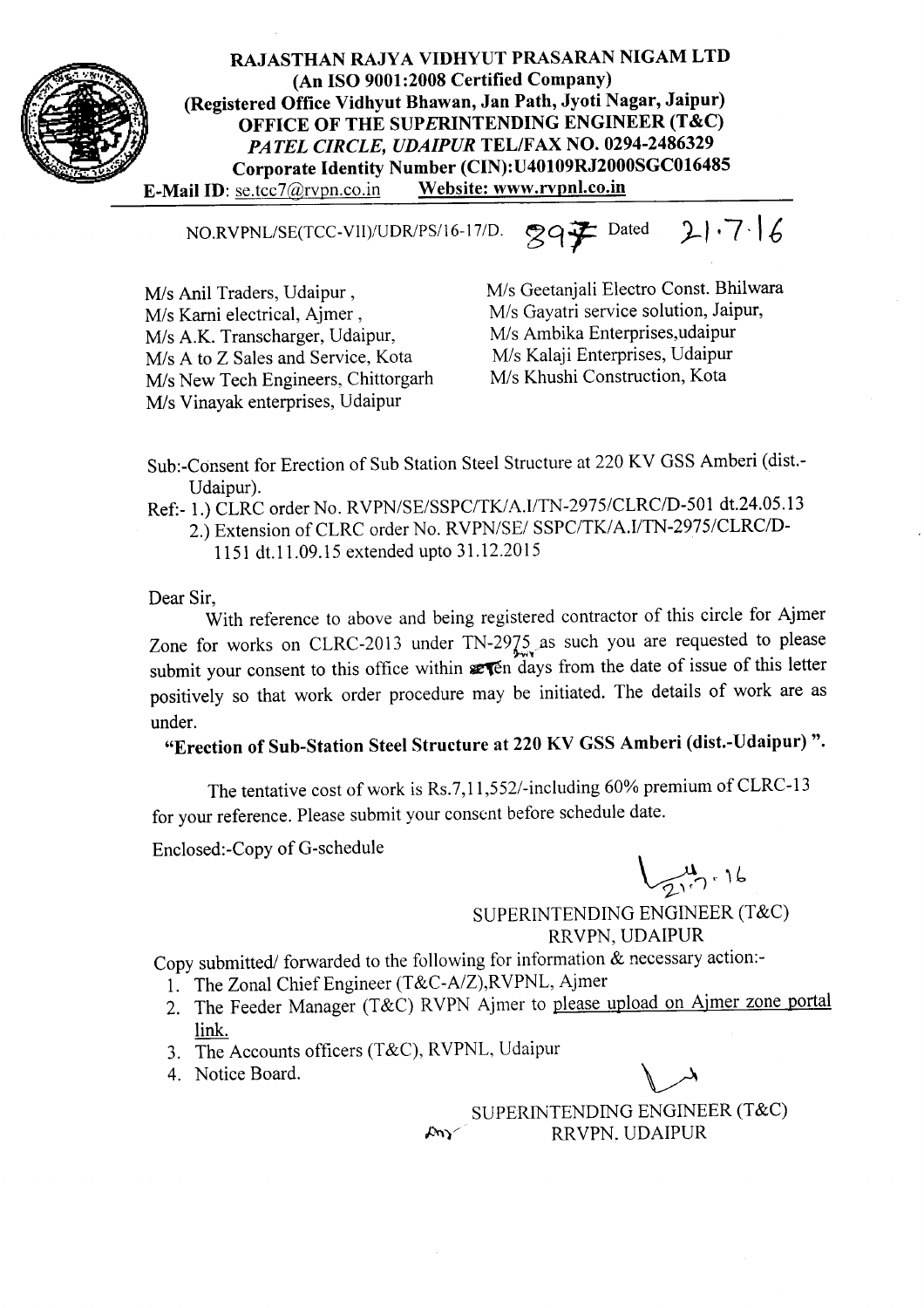

RAJASTHAN RAJYA VIDHYUT PRASARAN NIGAM LTD (An ISO 9001:2008 Certified Company) (Registered Office Vidhyut Bhawan, Jan Path, Jyoti Nagar, Jaipur) OFFICE OF THE SUPERINTENDING ENGINEER (T&C) *PATEL CIRCLE, UDAIPUR* TELIFAX NO. 0294-2486329 Corporate Identity Number (CIN): U40109RJ2000SGC016485<br>se.tcc7@rvpn.co.in Website: www.rvpnl.co.in E-Mail ID: se.tcc7@rvpn.co.in

NO.RVPNL/SE(TCC-VII)/UDR/PS/16-17/D. 29子 Dated 21.7.16

M/s Anil Traders, Udaipur, M/s Karni electrical, Ajmer, M/s A.K. Transcharger, Udaipur, M/s A to Z Sales and Service, Kota M/s New Tech Engineers, Chittorgarh M/s Vinayak enterprises, Udaipur

Mis Geetanjali Electro Const. Bhilwara *MIs* Gayatri service solution, Jaipur, M/s Ambika Enterprises,udaipur M/s Kalaji Enterprises, Udaipur *MIs* Khushi Construction, Kota

Sub.-Consent for Erection of Sub Station Steel Structure at 220 KV GSS Amberi (dist.- Udaipur).

Ref:- 1.)CLRC order No. *RVPN/SE/SSPC/TK/A.I/TN-2975/CLRC/D-501* dt.24.05.13

- 2.) Extension of CLRC order No. *RVPN/SE/ SSPC/TK/A.I/TN-2975/CLRC/D-*
	- 1151 dt.11.09.15 extended upto 31.12.2015

Dear Sir,

With reference to above and being registered contractor of this circle for Ajmer Zone for works on CLRC-2013 under  $TN-2975$  as such you are requested to please submit your consent to this office within  $x \overline{r}$  days from the date of issue of this letter positively so that work order procedure may be initiated. The details of work are as under.

"Erection of Sub-Station Steel Structure at 220 KV GSS Amberi (dist.-Udaipur) ".

The tentative cost of work is Rs.7,11,552/-including 60% premium of CLRC-13 for your reference. Please submit your consent before schedule date.

Enclosed:-Copy of G-schedule

 $\bigcup$   $\mathcal{A}_{n+1}$ ~

SUPERINTENDING ENGINEER (T&C) RRVPN, UDAIPUR

Copy submitted/ forwarded to the following for information  $\&$  necessary action:-

- 1. The Zonal Chief Engineer (T&C-A/Z),RVPNL, Ajmer
- 2. The Feeder Manager (T&C) RVPN Ajmer to please upload on Ajmer zone portal link.
- 3. The Accounts officers (T&C), RVPNL, Udaipur
- 4. Notice Board.

SUPERINTENDING ENGINEER (T&C) *J.:~)/* RRVPN. UDAIPUR